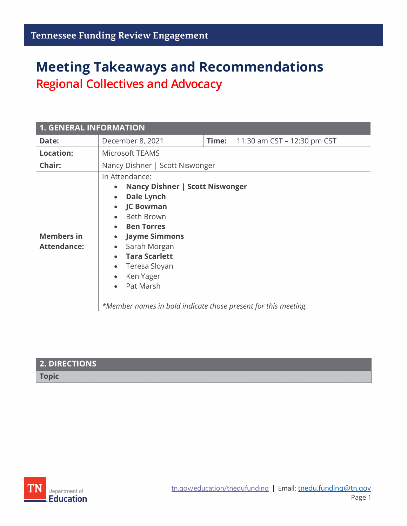# **Meeting Takeaways and Recommendations Regional Collectives and Advocacy**

| <b>1. GENERAL INFORMATION</b>           |                                                                                                                                                                                                                                                                                                                                                                                                                                                     |       |                             |  |
|-----------------------------------------|-----------------------------------------------------------------------------------------------------------------------------------------------------------------------------------------------------------------------------------------------------------------------------------------------------------------------------------------------------------------------------------------------------------------------------------------------------|-------|-----------------------------|--|
| Date:                                   | December 8, 2021                                                                                                                                                                                                                                                                                                                                                                                                                                    | Time: | 11:30 am CST - 12:30 pm CST |  |
| Location:                               | Microsoft TEAMS                                                                                                                                                                                                                                                                                                                                                                                                                                     |       |                             |  |
| Chair:                                  | Nancy Dishner   Scott Niswonger                                                                                                                                                                                                                                                                                                                                                                                                                     |       |                             |  |
| <b>Members in</b><br><b>Attendance:</b> | In Attendance:<br>Nancy Dishner   Scott Niswonger<br>$\bullet$<br><b>Dale Lynch</b><br>$\bullet$<br><b>JC Bowman</b><br>$\bullet$<br><b>Beth Brown</b><br>$\bullet$<br><b>Ben Torres</b><br><b>Jayme Simmons</b><br>$\bullet$<br>Sarah Morgan<br>$\bullet$<br><b>Tara Scarlett</b><br>$\bullet$<br>Teresa Sloyan<br>$\bullet$<br>Ken Yager<br>$\bullet$<br>Pat Marsh<br>$\bullet$<br>*Member names in bold indicate those present for this meeting. |       |                             |  |

| 2. DIRECTIONS |  |
|---------------|--|
| <b>Topic</b>  |  |
|               |  |

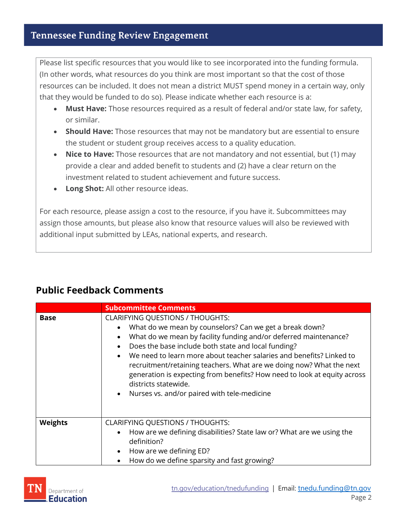Please list specific resources that you would like to see incorporated into the funding formula. (In other words, what resources do you think are most important so that the cost of those resources can be included. It does not mean a district MUST spend money in a certain way, only that they would be funded to do so). Please indicate whether each resource is a:

- **Must Have:** Those resources required as a result of federal and/or state law, for safety, or similar.
- **Should Have:** Those resources that may not be mandatory but are essential to ensure the student or student group receives access to a quality education.
- **Nice to Have:** Those resources that are not mandatory and not essential, but (1) may provide a clear and added benefit to students and (2) have a clear return on the investment related to student achievement and future success.
- **Long Shot:** All other resource ideas.

For each resource, please assign a cost to the resource, if you have it. Subcommittees may assign those amounts, but please also know that resource values will also be reviewed with additional input submitted by LEAs, national experts, and research.

|  | <b>Public Feedback Comments</b> |
|--|---------------------------------|
|--|---------------------------------|

|                | <b>Subcommittee Comments</b>                                                                                                                                                                                                                                                                                                                                                                                                                                                                                                                                                                      |  |
|----------------|---------------------------------------------------------------------------------------------------------------------------------------------------------------------------------------------------------------------------------------------------------------------------------------------------------------------------------------------------------------------------------------------------------------------------------------------------------------------------------------------------------------------------------------------------------------------------------------------------|--|
| <b>Base</b>    | <b>CLARIFYING QUESTIONS / THOUGHTS:</b><br>What do we mean by counselors? Can we get a break down?<br>$\bullet$<br>What do we mean by facility funding and/or deferred maintenance?<br>$\bullet$<br>Does the base include both state and local funding?<br>$\bullet$<br>We need to learn more about teacher salaries and benefits? Linked to<br>$\bullet$<br>recruitment/retaining teachers. What are we doing now? What the next<br>generation is expecting from benefits? How need to look at equity across<br>districts statewide.<br>Nurses vs. and/or paired with tele-medicine<br>$\bullet$ |  |
| <b>Weights</b> | <b>CLARIFYING QUESTIONS / THOUGHTS:</b><br>How are we defining disabilities? State law or? What are we using the<br>$\bullet$<br>definition?<br>How are we defining ED?<br>$\bullet$<br>How do we define sparsity and fast growing?                                                                                                                                                                                                                                                                                                                                                               |  |

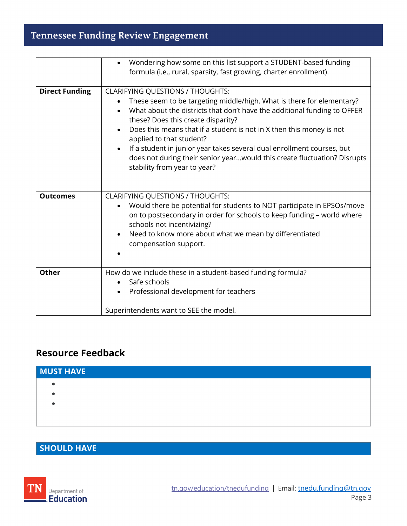## **Tennessee Funding Review Engagement**

|                       | Wondering how some on this list support a STUDENT-based funding<br>formula (i.e., rural, sparsity, fast growing, charter enrollment).                                                                                                                                                                                                                                                                                                                                                                                                                               |
|-----------------------|---------------------------------------------------------------------------------------------------------------------------------------------------------------------------------------------------------------------------------------------------------------------------------------------------------------------------------------------------------------------------------------------------------------------------------------------------------------------------------------------------------------------------------------------------------------------|
| <b>Direct Funding</b> | <b>CLARIFYING QUESTIONS / THOUGHTS:</b><br>These seem to be targeting middle/high. What is there for elementary?<br>$\bullet$<br>What about the districts that don't have the additional funding to OFFER<br>$\bullet$<br>these? Does this create disparity?<br>Does this means that if a student is not in X then this money is not<br>applied to that student?<br>If a student in junior year takes several dual enrollment courses, but<br>$\bullet$<br>does not during their senior yearwould this create fluctuation? Disrupts<br>stability from year to year? |
| <b>Outcomes</b>       | <b>CLARIFYING QUESTIONS / THOUGHTS:</b><br>Would there be potential for students to NOT participate in EPSOs/move<br>on to postsecondary in order for schools to keep funding - world where<br>schools not incentivizing?<br>Need to know more about what we mean by differentiated<br>compensation support.                                                                                                                                                                                                                                                        |
| <b>Other</b>          | How do we include these in a student-based funding formula?<br>Safe schools<br>$\bullet$<br>Professional development for teachers<br>Superintendents want to SEE the model.                                                                                                                                                                                                                                                                                                                                                                                         |

#### **Resource Feedback**

| <b>MUST HAVE</b> |  |  |
|------------------|--|--|
|                  |  |  |
|                  |  |  |
|                  |  |  |
|                  |  |  |

#### **SHOULD HAVE**